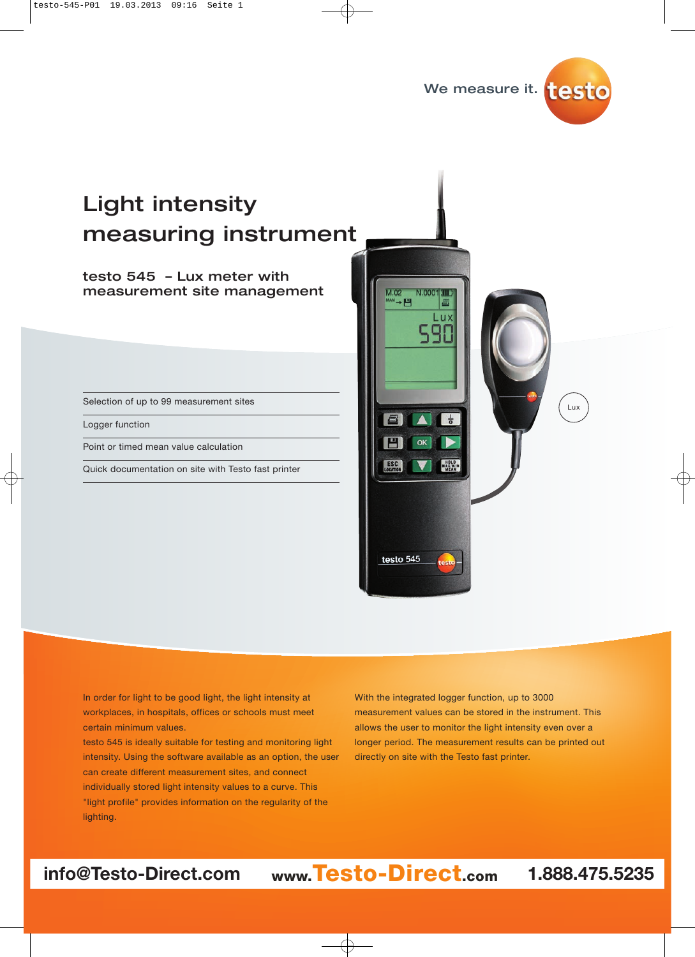



# Light intensity measuring instrument

### testo 545 - Lux meter with<br>measurement site management measurement site management

Selection of up to 99 measurement sites

Logger function

Point or timed mean value calculation

Quick documentation on site with Testo fast printer



In order for light to be good light, the light intensity at workplaces, in hospitals, offices or schools must meet certain minimum values.

testo 545 is ideally suitable for testing and monitoring light intensity. Using the software available as an option, the user can create different measurement sites, and connect individually stored light intensity values to a curve. This "light profile" provides information on the regularity of the lighting.

With the integrated logger function, up to 3000 measurement values can be stored in the instrument. This allows the user to monitor the light intensity even over a longer period. The measurement results can be printed out directly on site with the Testo fast printer.